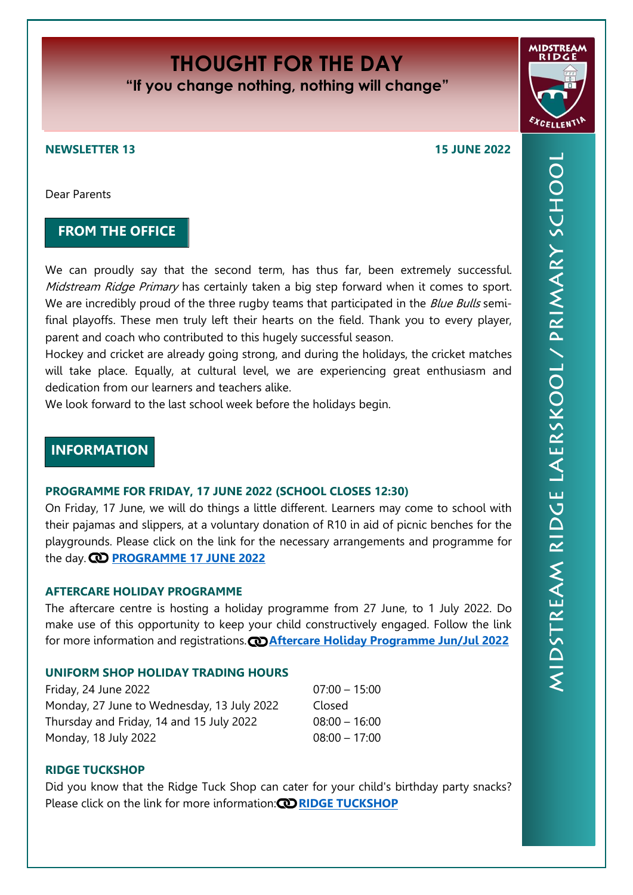# **THOUGHT FOR THE DAY**

**"If you change nothing, nothing will change"**

#### **NEWSLETTER 13 15 JUNE 2022**

Dear Parents

## **FROM THE OFFICE**

We can proudly say that the second term, has thus far, been extremely successful. Midstream Ridge Primary has certainly taken a big step forward when it comes to sport. We are incredibly proud of the three rugby teams that participated in the *Blue Bulls* semifinal playoffs. These men truly left their hearts on the field. Thank you to every player, parent and coach who contributed to this hugely successful season.

Hockey and cricket are already going strong, and during the holidays, the cricket matches will take place. Equally, at cultural level, we are experiencing great enthusiasm and dedication from our learners and teachers alike.

We look forward to the last school week before the holidays begin.

# **INFORMATION**

#### **PROGRAMME FOR FRIDAY, 17 JUNE 2022 (SCHOOL CLOSES 12:30)**

On Friday, 17 June, we will do things a little different. Learners may come to school with their pajamas and slippers, at a voluntary donation of R10 in aid of picnic benches for the playgrounds. Please click on the link for the necessary arrangements and programme for the day. **CD [PROGRAMME 17 JUNE 2022](https://midstreamridgeprimary.co.za/wp-content/uploads/2022/06/mrp2022ProgramProgramme17Jun.pdf)** 

#### **AFTERCARE HOLIDAY PROGRAMME**

The aftercare centre is hosting a holiday programme from 27 June, to 1 July 2022. Do make use of this opportunity to keep your child constructively engaged. Follow the link for more information and registrations. **@[Aftercare Holiday Programme Jun/Jul 2022](https://docs.google.com/forms/d/e/1FAIpQLSf0MemVw-4jk8mZV-7Zp4uGg8_6cT5O1qep3marL8wXWJRG5g/viewform?vc=0&c=0&w=1&flr=0&usp=mail_form_link)** 

### **UNIFORM SHOP HOLIDAY TRADING HOURS**

Friday, 24 June 2022 07:00 – 15:00 Monday, 27 June to Wednesday, 13 July 2022 Closed Thursday and Friday, 14 and 15 July 2022 08:00 – 16:00 Monday, 18 July 2022 08:00 – 17:00

#### **RIDGE TUCKSHOP**

Did you know that the Ridge Tuck Shop can cater for your child's birthday party snacks? Please click on the link for more information: **[RIDGE TUCKSHOP](https://midstreamridgeprimary.co.za/wp-content/uploads/2022/06/Ridge-Birthday-Advert.pdf)**